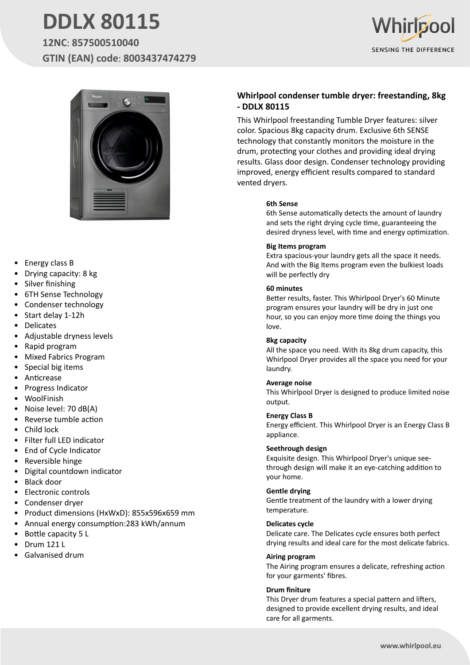# **DDLX 80115**

**12NC**: **857500510040 GTIN (EAN) code**: **8003437474279**





- Energy class B
- Drying capacity: 8 kg
- Silver finishing
- 6TH Sense Technology
- Condenser technology
- Start delay 1-12h
- Delicates
- Adjustable dryness levels
- Rapid program
- Mixed Fabrics Program
- Special big items
- Anticrease
- Progress Indicator
- WoolFinish
- Noise level: 70 dB(A)
- Reverse tumble action
- Child lock
- Filter full LED indicator
- End of Cycle Indicator
- Reversible hinge
- Digital countdown indicator
- Black door
- Electronic controls
- Condenser dryer
- Product dimensions (HxWxD): 855x596x659 mm
- Annual energy consumption:283 kWh/annum
- Bottle capacity 5 L
- Drum 121 L
- Galvanised drum

### **Whirlpool condenser tumble dryer: freestanding, 8kg - DDLX 80115**

This Whirlpool freestanding Tumble Dryer features: silver color. Spacious 8kg capacity drum. Exclusive 6th SENSE technology that constantly monitors the moisture in the drum, protecting your clothes and providing ideal drying results. Glass door design. Condenser technology providing improved, energy efficient results compared to standard vented dryers.

#### **6th Sense**

6th Sense automatically detects the amount of laundry and sets the right drying cycle time, guaranteeing the desired dryness level, with time and energy optimization.

#### **Big Items program**

Extra spacious-your laundry gets all the space it needs. And with the Big Items program even the bulkiest loads will be perfectly dry

#### **60 minutes**

Better results, faster. This Whirlpool Dryer's 60 Minute program ensures your laundry will be dry in just one hour, so you can enjoy more time doing the things you love.

#### **8kg capacity**

All the space you need. With its 8kg drum capacity, this Whirlpool Dryer provides all the space you need for your laundry.

#### **Average noise**

This Whirlpool Dryer is designed to produce limited noise output.

#### **Energy Class B**

Energy efficient. This Whirlpool Dryer is an Energy Class B appliance.

#### **Seethrough design**

Exquisite design. This Whirlpool Dryer's unique seethrough design will make it an eye-catching addition to your home.

#### **Gentle drying**

Gentle treatment of the laundry with a lower drying temperature.

#### **Delicates cycle**

Delicate care. The Delicates cycle ensures both perfect drying results and ideal care for the most delicate fabrics.

#### **Airing program**

The Airing program ensures a delicate, refreshing action for your garments' fibres.

#### **Drum finiture**

This Dryer drum features a special pattern and lifters, designed to provide excellent drying results, and ideal care for all garments.